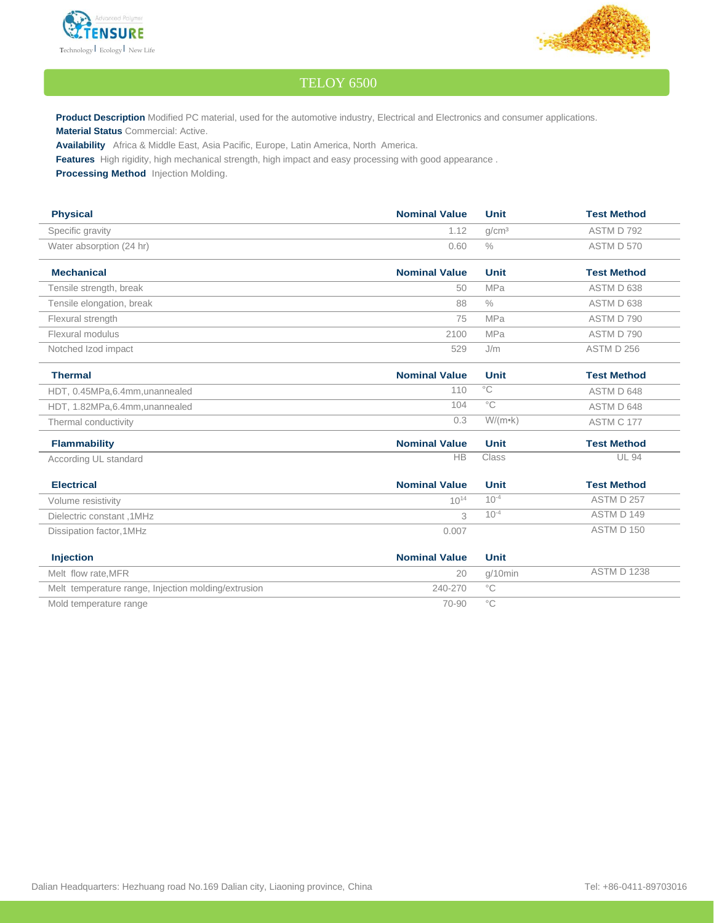



## TELOY 6500

**Product Description** Modified PC material, used for the automotive industry, Electrical and Electronics and consumer applications. **Material Status** Commercial: Active.

**Availability** Africa & Middle East, Asia Pacific, Europe, Latin America, North America.

**Features** High rigidity, high mechanical strength, high impact and easy processing with good appearance .

**Processing Method** Injection Molding.

| <b>Physical</b>                                     | <b>Nominal Value</b> | <b>Unit</b>       | <b>Test Method</b> |
|-----------------------------------------------------|----------------------|-------------------|--------------------|
|                                                     |                      |                   |                    |
| Specific gravity                                    | 1.12                 | q/cm <sup>3</sup> | ASTM D 792         |
| Water absorption (24 hr)                            | 0.60                 | $\frac{0}{0}$     | ASTM D 570         |
| <b>Mechanical</b>                                   | <b>Nominal Value</b> | <b>Unit</b>       | <b>Test Method</b> |
| Tensile strength, break                             | 50                   | <b>MPa</b>        | ASTM D 638         |
| Tensile elongation, break                           | 88                   | $\frac{0}{0}$     | ASTM D 638         |
| Flexural strength                                   | 75                   | <b>MPa</b>        | ASTM D 790         |
| Flexural modulus                                    | 2100                 | <b>MPa</b>        | ASTM D 790         |
| Notched Izod impact                                 | 529                  | J/m               | ASTM D 256         |
| <b>Thermal</b>                                      | <b>Nominal Value</b> | <b>Unit</b>       | <b>Test Method</b> |
| HDT, 0.45MPa, 6.4mm, unannealed                     | 110                  | $^{\circ}$ C      | ASTM D 648         |
| HDT, 1.82MPa, 6.4mm, unannealed                     | 104                  | $^{\circ}$ C      | ASTM D 648         |
| Thermal conductivity                                | 0.3                  | $W/(m \cdot k)$   | ASTM C 177         |
| <b>Flammability</b>                                 | <b>Nominal Value</b> | <b>Unit</b>       | <b>Test Method</b> |
| According UL standard                               | <b>HB</b>            | Class             | <b>UL 94</b>       |
| <b>Electrical</b>                                   | <b>Nominal Value</b> | <b>Unit</b>       | <b>Test Method</b> |
| Volume resistivity                                  | $10^{14}$            | $10^{-4}$         | ASTM D 257         |
| Dielectric constant, 1MHz                           | 3                    | $10^{-4}$         | ASTM D 149         |
| Dissipation factor, 1MHz                            | 0.007                |                   | ASTM D 150         |
| <b>Injection</b>                                    | <b>Nominal Value</b> | <b>Unit</b>       |                    |
| Melt flow rate, MFR                                 | 20                   | $q/10$ min        | <b>ASTM D 1238</b> |
| Melt temperature range, Injection molding/extrusion | 240-270              | $^{\circ}$ C      |                    |

Mold temperature range  $\sim$  70-90 °C